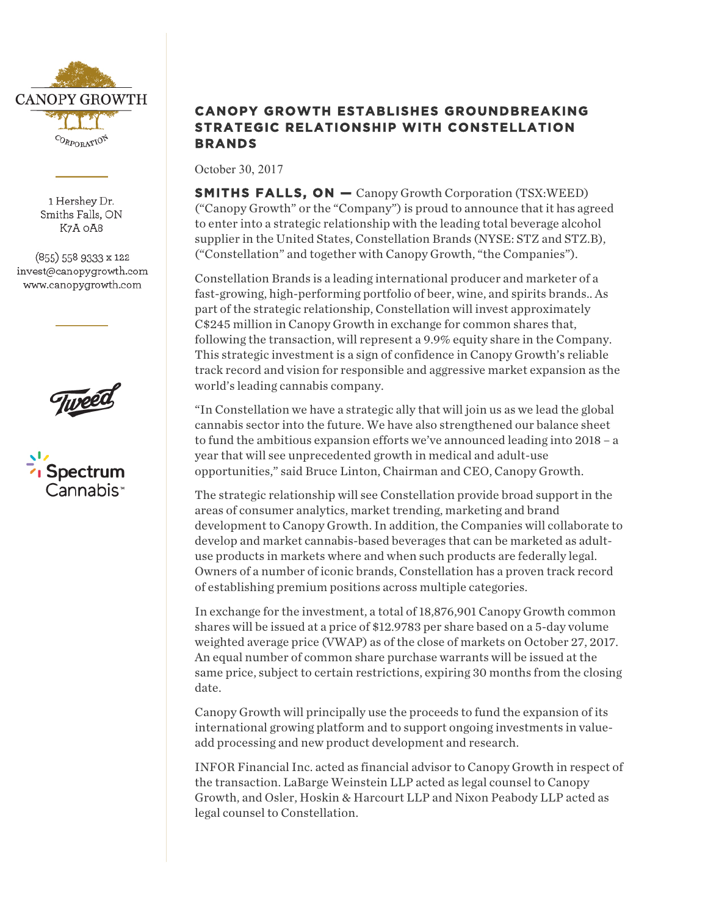

1 Hershey Dr. Smiths Falls, ON K7A OA8

(855) 558 9333 x 122 invest@canopygrowth.com www.canopygrowth.com





## **CANOPY GROWTH ESTABLISHES GROUNDBREAKING STRATEGIC RELATIONSHIP WITH CONSTELLATION BRANDS**

October 30, 2017

**SMITHS FALLS, ON —** Canopy Growth Corporation (TSX:WEED) ("Canopy Growth" or the "Company") is proud to announce that it has agreed to enter into a strategic relationship with the leading total beverage alcohol supplier in the United States, Constellation Brands (NYSE: STZ and STZ.B), ("Constellation" and together with Canopy Growth, "the Companies").

Constellation Brands is a leading international producer and marketer of a fast-growing, high-performing portfolio of beer, wine, and spirits brands.. As part of the strategic relationship, Constellation will invest approximately C\$245 million in Canopy Growth in exchange for common shares that, following the transaction, will represent a 9.9% equity share in the Company. This strategic investment is a sign of confidence in Canopy Growth's reliable track record and vision for responsible and aggressive market expansion as the world's leading cannabis company.

"In Constellation we have a strategic ally that will join us as we lead the global cannabis sector into the future. We have also strengthened our balance sheet to fund the ambitious expansion efforts we've announced leading into 2018 – a year that will see unprecedented growth in medical and adult-use opportunities," said Bruce Linton, Chairman and CEO, Canopy Growth.

The strategic relationship will see Constellation provide broad support in the areas of consumer analytics, market trending, marketing and brand development to Canopy Growth. In addition, the Companies will collaborate to develop and market cannabis-based beverages that can be marketed as adultuse products in markets where and when such products are federally legal. Owners of a number of iconic brands, Constellation has a proven track record of establishing premium positions across multiple categories.

In exchange for the investment, a total of 18,876,901 Canopy Growth common shares will be issued at a price of \$12.9783 per share based on a 5-day volume weighted average price (VWAP) as of the close of markets on October 27, 2017. An equal number of common share purchase warrants will be issued at the same price, subject to certain restrictions, expiring 30 months from the closing date.

Canopy Growth will principally use the proceeds to fund the expansion of its international growing platform and to support ongoing investments in valueadd processing and new product development and research.

INFOR Financial Inc. acted as financial advisor to Canopy Growth in respect of the transaction. LaBarge Weinstein LLP acted as legal counsel to Canopy Growth, and Osler, Hoskin & Harcourt LLP and Nixon Peabody LLP acted as legal counsel to Constellation.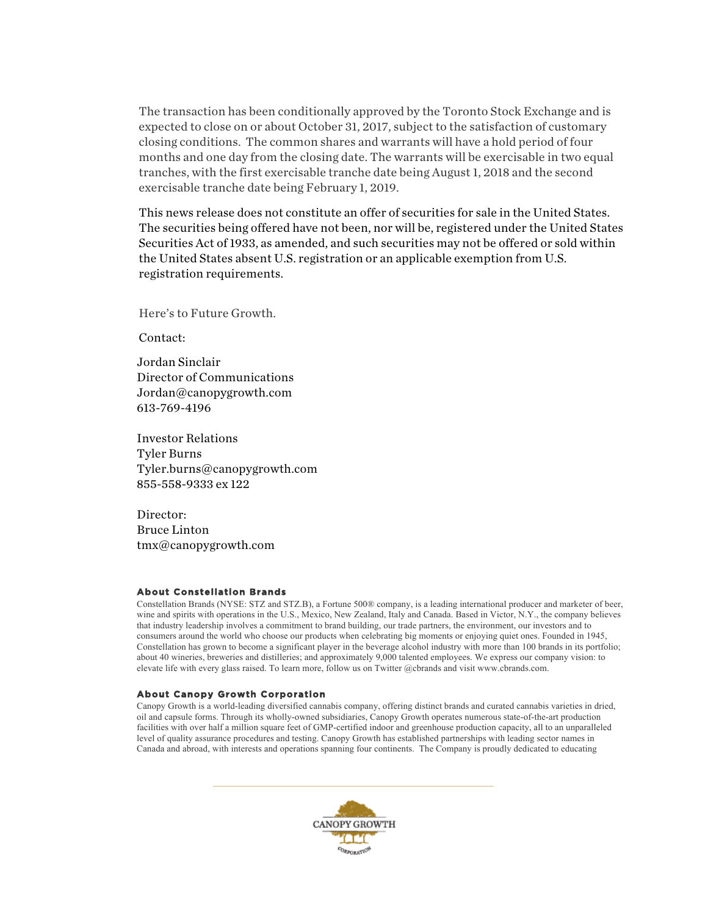The transaction has been conditionally approved by the Toronto Stock Exchange and is expected to close on or about October 31, 2017, subject to the satisfaction of customary closing conditions. The common shares and warrants will have a hold period of four months and one day from the closing date. The warrants will be exercisable in two equal tranches, with the first exercisable tranche date being August 1, 2018 and the second exercisable tranche date being February 1, 2019.

This news release does not constitute an offer of securities for sale in the United States. The securities being offered have not been, nor will be, registered under the United States Securities Act of 1933, as amended, and such securities may not be offered or sold within the United States absent U.S. registration or an applicable exemption from U.S. registration requirements.

Here's to Future Growth.

Contact:

Jordan Sinclair Director of Communications Jordan@canopygrowth.com 613-769-4196

Investor Relations Tyler Burns Tyler.burns@canopygrowth.com 855-558-9333 ex 122

Director: Bruce Linton tmx@canopygrowth.com

## **About Constellation Brands**

Constellation Brands (NYSE: STZ and STZ.B), a Fortune 500® company, is a leading international producer and marketer of beer, wine and spirits with operations in the U.S., Mexico, New Zealand, Italy and Canada. Based in Victor, N.Y., the company believes that industry leadership involves a commitment to brand building, our trade partners, the environment, our investors and to consumers around the world who choose our products when celebrating big moments or enjoying quiet ones. Founded in 1945, Constellation has grown to become a significant player in the beverage alcohol industry with more than 100 brands in its portfolio; about 40 wineries, breweries and distilleries; and approximately 9,000 talented employees. We express our company vision: to elevate life with every glass raised. To learn more, follow us on Twitter @cbrands and visit www.cbrands.com.

## **About Canopy Growth Corporation**

Canopy Growth is a world-leading diversified cannabis company, offering distinct brands and curated cannabis varieties in dried, oil and capsule forms. Through its wholly-owned subsidiaries, Canopy Growth operates numerous state-of-the-art production facilities with over half a million square feet of GMP-certified indoor and greenhouse production capacity, all to an unparalleled level of quality assurance procedures and testing. Canopy Growth has established partnerships with leading sector names in Canada and abroad, with interests and operations spanning four continents. The Company is proudly dedicated to educating